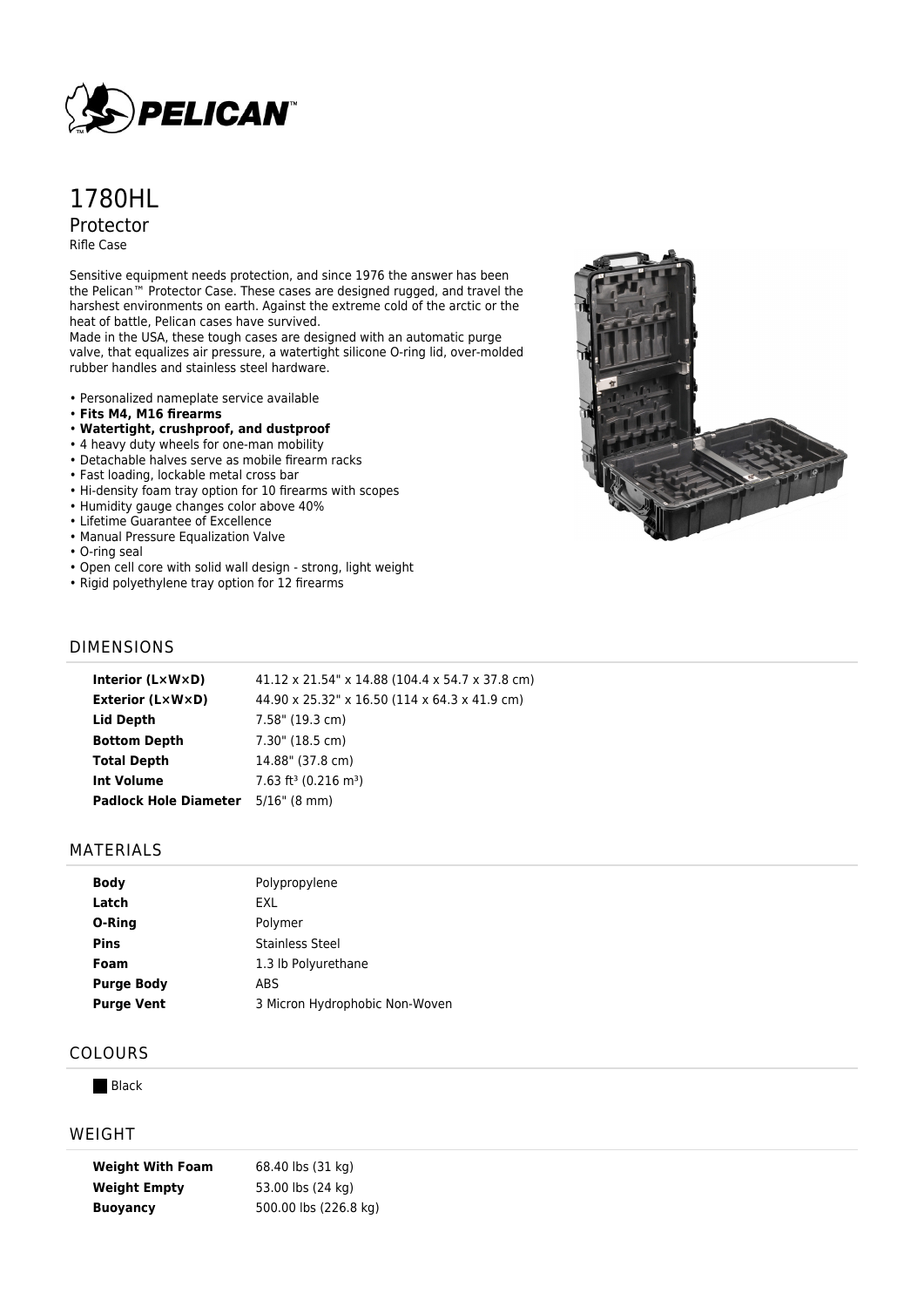

# 1780HL Protector Rifle Case

Sensitive equipment needs protection, and since 1976 the answer has been the Pelican™ Protector Case. These cases are designed rugged, and travel the harshest environments on earth. Against the extreme cold of the arctic or the heat of battle, Pelican cases have survived.

Made in the USA, these tough cases are designed with an automatic purge valve, that equalizes air pressure, a watertight silicone O-ring lid, over-molded rubber handles and stainless steel hardware.

- Personalized nameplate service available
- **Fits M4, M16 firearms**
- **Watertight, crushproof, and dustproof**
- 4 heavy duty wheels for one-man mobility
- Detachable halves serve as mobile firearm racks
- Fast loading, lockable metal cross bar
- Hi-density foam tray option for 10 firearms with scopes
- Humidity gauge changes color above 40%
- Lifetime Guarantee of Excellence
- Manual Pressure Equalization Valve
- O-ring seal
- Open cell core with solid wall design strong, light weight
- Rigid polyethylene tray option for 12 firearms



#### DIMENSIONS

| Interior (L×W×D)                   | 41.12 x 21.54" x 14.88 (104.4 x 54.7 x 37.8 cm) |
|------------------------------------|-------------------------------------------------|
| <b>Exterior (L×W×D)</b>            | 44.90 x 25.32" x 16.50 (114 x 64.3 x 41.9 cm)   |
| Lid Depth                          | 7.58" (19.3 cm)                                 |
| <b>Bottom Depth</b>                | 7.30" (18.5 cm)                                 |
| <b>Total Depth</b>                 | 14.88" (37.8 cm)                                |
| <b>Int Volume</b>                  | $7.63$ ft <sup>3</sup> (0.216 m <sup>3</sup> )  |
| Padlock Hole Diameter 5/16" (8 mm) |                                                 |
|                                    |                                                 |

#### MATERIALS

| <b>Body</b>       | Polypropylene                  |
|-------------------|--------------------------------|
| Latch             | FXI                            |
| O-Ring            | Polymer                        |
| <b>Pins</b>       | <b>Stainless Steel</b>         |
| Foam              | 1.3 lb Polyurethane            |
| <b>Purge Body</b> | ABS                            |
| <b>Purge Vent</b> | 3 Micron Hydrophobic Non-Woven |
|                   |                                |

## COLOURS

**Black** 

#### WEIGHT

| <b>Weight With Foam</b> | 68.40 lbs (31 kg)     |
|-------------------------|-----------------------|
| <b>Weight Empty</b>     | 53.00 lbs (24 kg)     |
| <b>Buoyancy</b>         | 500.00 lbs (226.8 kg) |